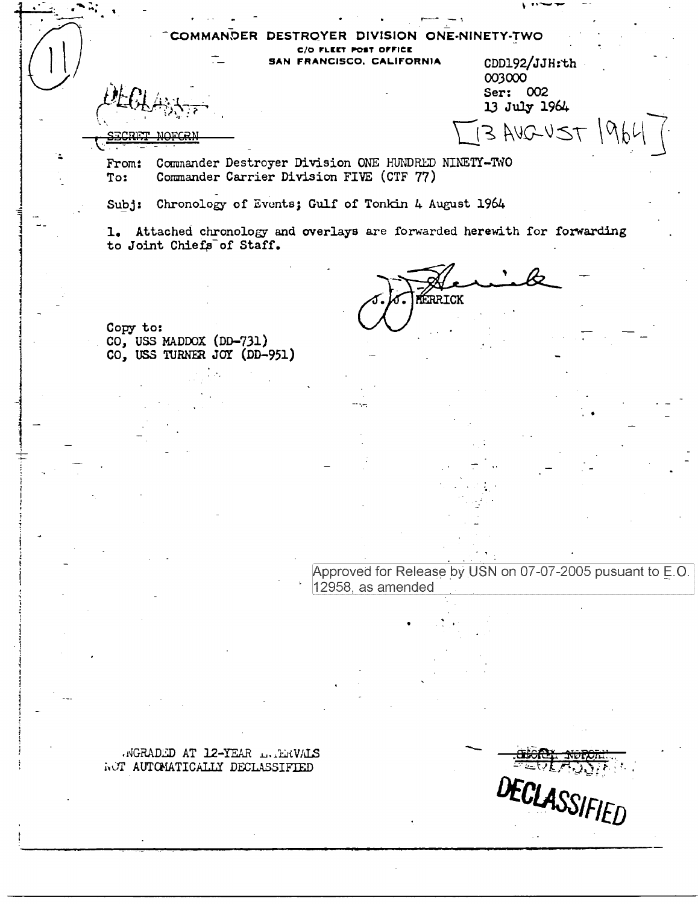**ONE-NINETY-TWO** сомми VISION C/O FLEET POST OFFICE SAN FRANCISCO, CALIFORNIA CDD192/JJH:th

Commander Destroyer Division ONE HUNDRED NINETY-TWO From: To: Commander Carrier Division FIVE (CTF 77)

Chronology of Events; Gulf of Tonkin 4 August 1964  $Sub:$ 

1. Attached chronology and overlays are forwarded herewith for forwarding to Joint Chiefs of Staff.

**FERRICK** 

003000 Ser: 002 13 July 1964

 $3$  AVGUST  $1964$ 

Copy to: CO, USS MADDOX (DD-731) CO, USS TURNER JOY (DD-951)

> Approved for Release by USN on 07-07-2005 pusuant to E.O. 12958, as amended

NGRADED AT 12-YEAR LAERVALS NOT AUTOMATICALLY DECLASSIFIED

DECLASSIFIED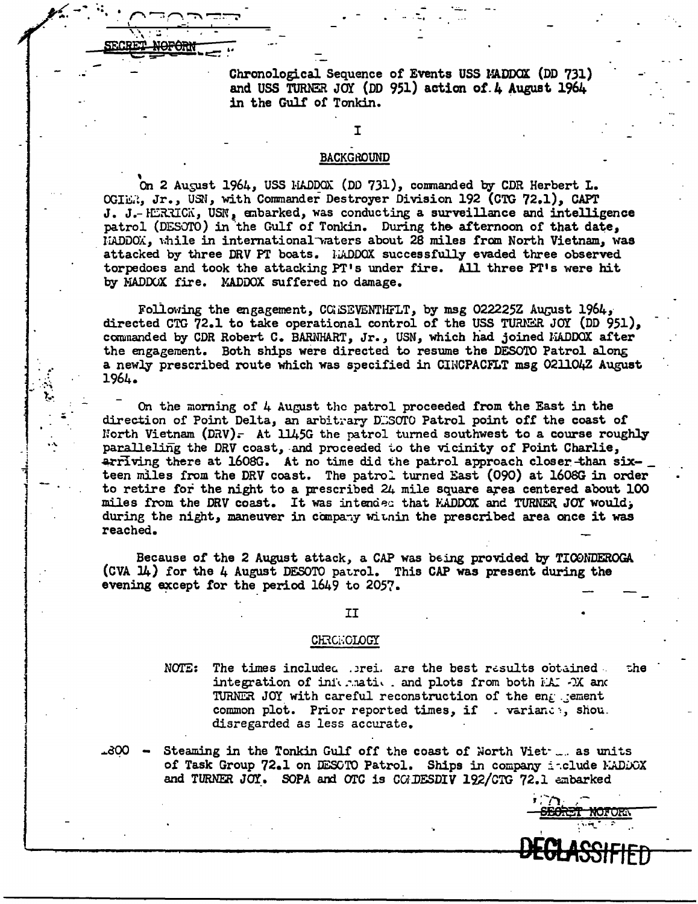Chronological Sequence or Events USS MADDOX (DD 731) and USS TURNER JOY (DD 951) action of 4 August 1964 in the Gulf of Tonkin.

## BACKGROUND

I

r. --:: ~ -:"'\ ~:"."""';t ... -· I .

 $\frac{1}{\sqrt{1 + \frac{1}{n}}}$ 

SECRET NOFORM

On 2 August 1964, USS HADDOX (DD 731), commanded by CDR Herbert L. OGIER, Jr., USN, with Commander Destroyer Division 192 (CTG 72.1), CAPT J. J.- HERRICK, USN, enbarked, was conducting a surveillance and intelligence patrol (DESOTO) in the Gulf of Tonkin. During the afternoon of that date, . liADDOX,, l;hile in international-waters about 28 miles from North Vietnam,, was attacked by three DRV PT boats. LADDOX successfully evaded three observed torpedoes and took the attacking PT's under fire. All three PT's were hit by MADDOX fire. MADDOX suffered no damage.

Following the engagement, COISEVENTHFLT, by msg 022225Z August 1964, directed CTG 72.1 to take operational control of the USS TURNER JOY (DD 951). commanded by CDR Robert C. BARNHART, Jr., USN, which had joined MADDOX after the engagement. Both ships were directed to resume the DESOTO Patrol along a newly prescribed route which was specified in CINCPACFLT msg 021104Z August 1964 •

On the morning of 4 August the patrol proceeded from the East in the direction of Point Delta, an arbitrary DESOTO Patrol point off the coast of North Vietnam  $(DRV)$ . At 1145G the patrol turned southwest to a course roughly paralleling the DRV coast, and proceeded to the vicinity of Point Charlie,  $\arr{F}$  ving there at 1608G. At no time did the patrol approach closer-than sixteen miles from the DRV coast. The patrol turned East (090) at 1608G in order to retire for the night to a prescribed  $24$  mile square area centered about 100 miles from the DRV coast. It was intended that MADDOX and TURNER JOY would, during the night, maneuver in company within the prescribed area once it was reached.

I ~ j i

 $\mathbb{R}^2$ 

~~:

•·\.

|<br>|<br>|<br>|<br>|<br>|<br>|

antarana amin'ny fivondronan-kaominin'i Amerika<br>Ny INSEE dia mampiasa ny kaodim-paositra 64149.<br>I Paul Carlo VI amin'ny faritr'i Nouvelle-Amerika ny taona 2008–2014.

la kana ing kabupatèn Kabupatèn Ingkalu.<br>Kabupatèn Kabupatèn Kabupatèn Ingkalu.<br>Kabupatèn Kabupatèn Kabupatèn Ingkalu.

den forskellingen om de forskellingen.<br>1980 - Sin Stadt Stadt, som forsk skriven og som forskellingen.<br>1980 - Sin Stadt Stadt, som forsk skriven og som forskellingen.

Because *of* the 2 August attack, a CAP was bEing provided by TI00NDEROGA (CVA  $14$ ) for the 4 August DESOTO patrol. This CAP was present during the evening except for the period 1649 to 2057.

## II

## CHRCHOLOGY

NOTE: The times included .prei. are the best results obtained . the integration of information and plots from both  $K^*$  - $X$  and TURNER JOY with careful reconstruction of the engineerat common plot. Prior reported times, if . varianes, shou. disregarded as less accurate.

':<br><del>SEORET NOFORN</del>

DEGl:ASSIFf ED

'

... aoo Steaming in the Tonkin Gulf off the coast of North Viet- $\Box$  as units of Task Group 72.1 on DESOTO Patrol. Ships in company include MADDOX and TURNER JOY. SOPA and OTC is COLDESDIV 192/CTG 72.1 ambarked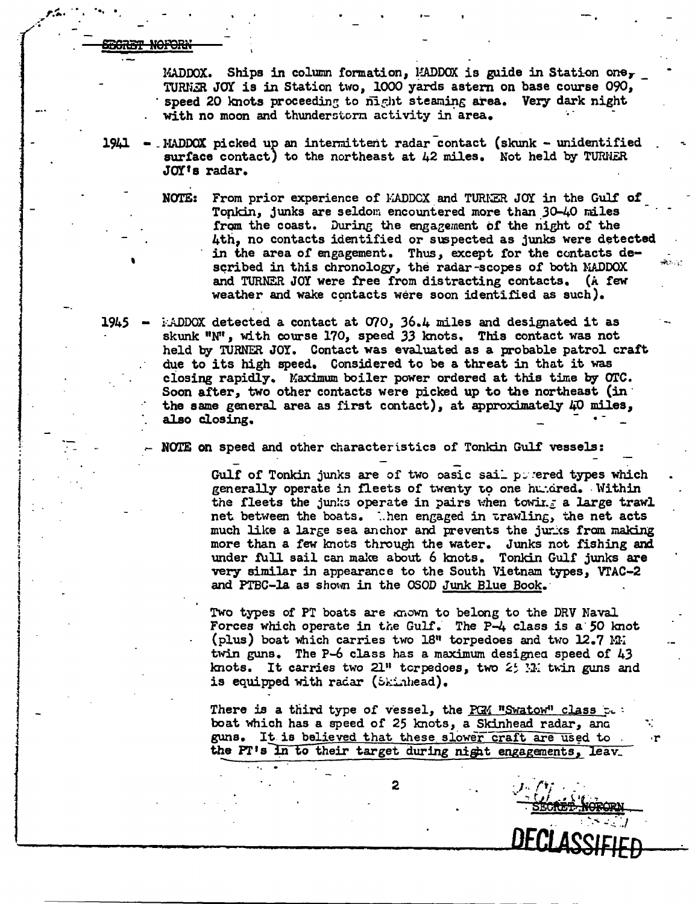'

 $\mathbb{Z}^{(n+1)}$  . The single .... ~'·... t ' •

..

j

 $\begin{bmatrix} 1 & 0 & 0 \\ 0 & 0 & 0 \\ 0 & 0 & 0 \\ 0 & 0 & 0 \\ 0 & 0 & 0 \\ 0 & 0 & 0 \\ 0 & 0 & 0 \\ 0 & 0 & 0 \\ 0 & 0 & 0 \\ 0 & 0 & 0 \\ 0 & 0 & 0 \\ 0 & 0 & 0 \\ 0 & 0 & 0 \\ 0 & 0 & 0 & 0 \\ 0 & 0 & 0 & 0 \\ 0 & 0 & 0 & 0 \\ 0 & 0 & 0 & 0 \\ 0 & 0 & 0 & 0 & 0 \\ 0 & 0 & 0 & 0 & 0 \\ 0 & 0 & 0 & 0 & 0 \\ 0 &$ 

|<br>|<br>| : ! "i ' !

|<br>|<br>!

{<br>!<br>! 1

|<br>|<br>|<br>|

j<br>j<br>j

j ~ .1

MADDOX. Ships in column formation,  $MADDOX$  is guide in Station one, TURNER JOY is in Station two, 1000 yards astern on base course 090, speed 20 knots proceeding to  $\vec{n}$  ght steaming area. Very dark night with no moon and thunderstorm activity in area.

 $1941$  - MADDOX picked up an intermittent radar contact (skunk - unidentified surface contact) to the northeast at  $42$  miles. Not held by TURNER JOY's radar.

> NOTE: From prior experience of KADDCX and TURNER JOY in the Gulf of Tonkin, junks are seldom encountered more than 30-40 miles from the coast. During the engagement of the night of the 4th, no contacts identified or suspected as junks were detected in the area of engagement. Thus, except for the contacts described in this chronology, the radar-scopes of both MADDOX and TURNER JOY were free from distracting contacts. (A few weather and wake contacts were soon identified as such).

 $1945$   $\therefore$  ADDOX detected a contact at O70, 36.4 miles and designated it as skwik 11N'<sup>1</sup> , with course 170, speed *33* lmots. This contact was not held by TURNER JOY. Contact was evaluated as a probable patrol craft due to its high speed. Considered to be a threat in that it was closing rapidly. Maximum boiler power ordered at this time by OTC. Soon after, two other contacts were picked up to the northeast (in· the same general area as first contact), at approximately  $\mu$ O miles, also closing.

NOTE on speed and other characteristics of Tonkin Gulf vessels:

Gulf of Tonkin junks are of two pasic sail povered types which generally operate in fleets of twenty to one humdred. Within the fleets the junks operate in pairs when towing a large trawl net between the boats. ..hen engaged in trawling, the net acts much like a large sea anchor and prevents the jurks from making more than a few lmots through the water. Junks not fishing and under full sail can make about 6 knots. Tonkin Gulf junks are very similar in appearance to the South Vietnam types, vrAC-2 and PTBC-la as shown in the OSOD Junk Blue Book.

Two types of PT boats are known to belong to the DRV Naval Forces which operate in the Gulf. The  $P-4$  class is a 50 knot (plus) boat which carries two  $18$ <sup>n</sup> torpedoes and two  $12.7$  M. twin guns. The  $P-6$  class has a maximum designed speed of  $43$ knots. It carries two  $21''$  torpedoes, two  $2'$  M. twin guns and is equipped with radar (Skinhead).

There is a third type of vessel, the PGM "Swatow" class  $c_i$ : boat which has a speed of 25 knots, a Skinhead radar, and guns. It is believed that these slower craft are used to the PT's in to their target during night engagements, leav.  $\frac{1}{\cdot}$ 

... *...*<br><u>SECRET: NORORN</u><br>—

.. •. ·r

DECLASSIFIED

2 . *<i>I* . *I*<sup>,</sup> *I*<sup>,</sup> *I*<sup>,</sup> *I*<sup></sup>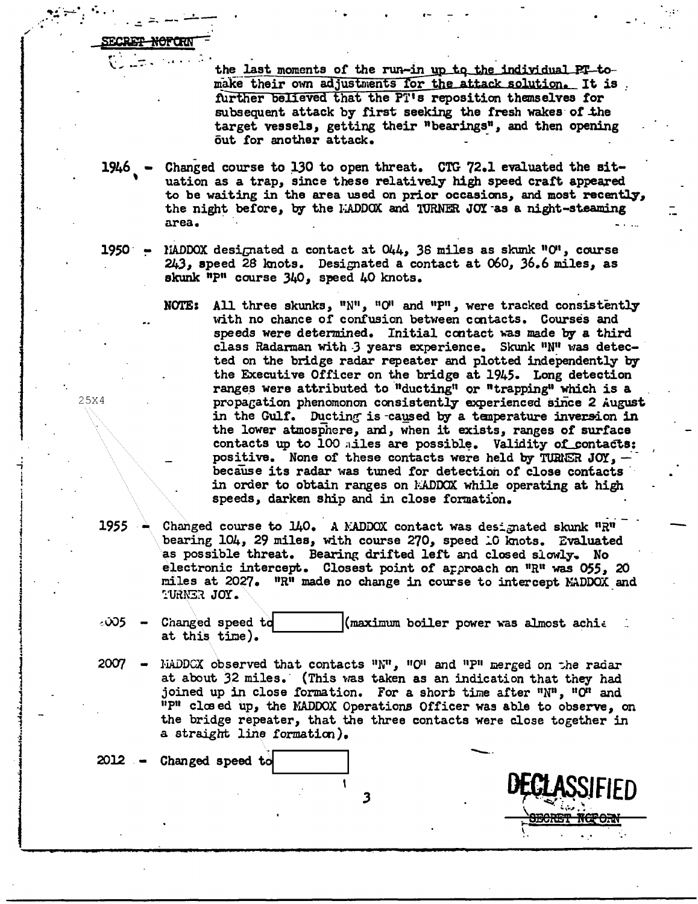the last moments of the run-in up to the individual PT-tomake their own adjustments for the attack solution. It is further believed that the PT's reposition themselves for subsequent attack by first seeking the fresh wakes of the target vessels, getting their "bearings", and then opening out for another attack.

- $1946$  Changed course to 130 to open threat. CTG 72.1 evaluated the situation as a trap, since these relatively high speed craft appeared to be waiting in the area used on prior occasions, and most recently, the night before, by the MADDOX and TURNER JOY as a night-steaming area.
- MADDOX designated a contact at  $044$ , 36 miles as skunk "O", course 1950 <del>-</del> 243, speed 28 knots. Designated a contact at 060, 36.6 miles, as skunk "P" course 340, speed 40 knots.
	- NOTE: All three skunks, " $N^{\prime\prime}$ , "O" and "P", were tracked consistently with no chance of confusion between contacts. Courses and speeds were determined. Initial contact was made by a third class Radarman with 3 years experience. Skunk "N" was detected on the bridge radar repeater and plotted independently by the Executive Officer on the bridge at 1945. Long detection ranges were attributed to "ducting" or "trapping" which is a propagation phenomonon consistently experienced since 2 August in the Gulf. Ducting is caused by a temperature inversion in the lower atmosphere, and, when it exists, ranges of surface contacts up to 100 miles are possible. Validity of contacts: positive. None of these contacts were held by TURNER JOY,  $$ because its radar was tuned for detection of close contacts in order to obtain ranges on MADDOX while operating at high speeds, darken ship and in close formation.
	- Changed course to 140. A MADDOX contact was designated skunk "R" bearing 104, 29 miles, with course 270, speed 10 knots. Evaluated as possible threat. Bearing drifted left and closed slowly. No electronic intercept. Closest point of approach on "R" was 055, 20 miles at 2027. "R" made no change in course to intercept MADDOX and TURNER JOY.
- ∞એ5 Changed speed to (maximum boiler power was almost achie at this time).
- 2007 MADDCX observed that contacts  $"N"$ ,  $"O"$  and  $"P"$  merged on the radar at about 32 miles. (This was taken as an indication that they had joined up in close formation. For a short time after "N", "O" and "P" closed up, the MADDOX Operations Officer was able to observe, on the bridge repeater, that the three contacts were close together in a straight line formation).

Changed speed to 2012 – 3

25X4

1955

<del>NOFOR</del>N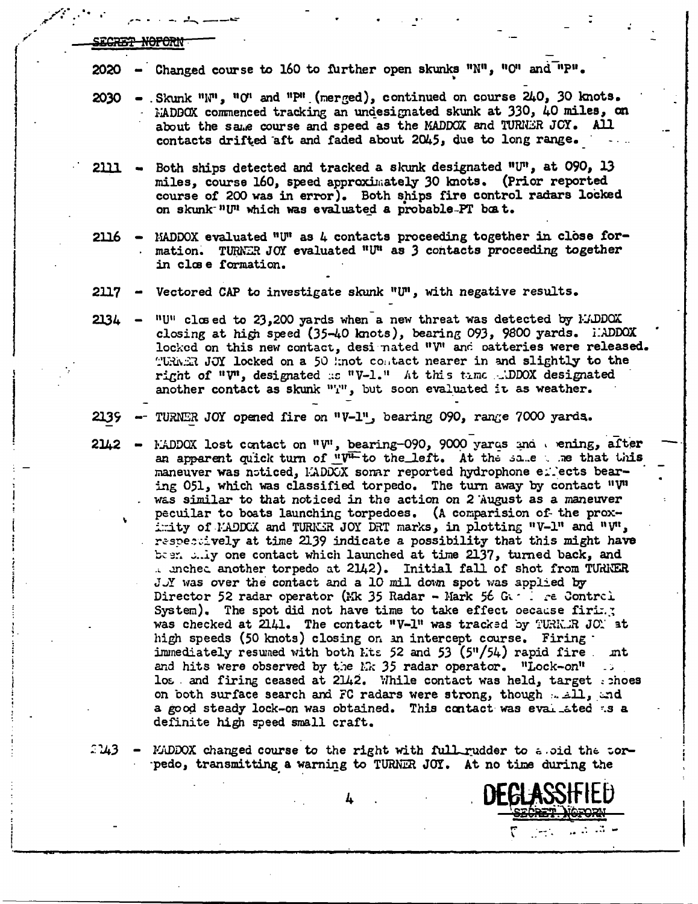|  | STADIW INCOMM          |  |
|--|------------------------|--|
|  | <b>WAOTEL TOT ONLY</b> |  |
|  |                        |  |

- Changed course to 160 to further open skunks "N", "O" and "P". 2020
- $2030$  Skunk "N", "O" and "P" (merged), continued on course 240, 30 knots. MADBOX commenced tracking an undesignated skunk at 330, 40 miles, on about the same course and speed as the MADDOX and TURNER JOY. All contacts drifted aft and faded about 2045, due to long range.
- Both ships detected and tracked a skunk designated "U", at 090, 13 2111 miles, course 160, speed approximately 30 knots. (Prior reported course of 200 was in error). Both ships fire control radars locked on skunk<sup>-n</sup>U<sup>n</sup> which was evaluated a probable-PT boat.
- $2116 -$ MADDOX evaluated "U" as 4 contacts proceeding together in close formation. TURNER JOY evaluated "U" as 3 contacts proceeding together in close formation.
- Vectored CAP to investigate skunk "U", with negative results. 2117
- "U" closed to 23,200 yards when a new threat was detected by ELDDOX  $2134$ closing at high speed (35-40 knots), bearing 093, 9800 yards. IADDOX locked on this new contact, desi nated "V" and patteries were released. TURNER JOY locked on a 50 knot contact nearer in and slightly to the right of "V", designated as "V-1." At this time aDDOX designated another contact as skunk "'I", but soon evaluated it as weather.
- TURNER JOY opened fire on "V-1", bearing 090, range 7000 yards. 2139
- 2142 EADDOX lost contact on "V", bearing-090, 9000 yards and wening, after an apparent quick turn of " $V^{\perp}$  to the left. At the same when that this maneuver was noticed, LADDCX somar reported hydrophone entects bearing 051, which was classified torpedo. The turn away by contact " $V''$ was similar to that noticed in the action on 2 August as a maneuver pecuilar to boats launching torpedoes. (A comparision of the proximity of MADDCX and TURNER JOY DRT marks, in plotting "V-1" and "V", respectively at time 2139 indicate a possibility that this might have been ully one contact which launched at time 2137, turned back, and . unched another torpedo at 2142). Initial fall of shot from TURNER J.Y was over the contact and a 10 mil down spot was applied by Director 52 radar operator (Mk 35 Radar - Mark 56 G. . . re Control System). The spot did not have time to take effect oecause firing was checked at  $2141.$  The contact "V-1" was tracked by TURK. R JON at high speeds (50 knots) closing on an intercept course. Firing immediately resumed with both Lts 52 and 53 (5"/54) rapid fire mt and hits were observed by the  $kR$  35 radar operator. "Lock-on" ... los and firing ceased at 2142. While contact was held, target shoes on both surface search and FC radars were strong, though well, and a good steady lock-on was obtained. This contact was evaluated as a definite high speed small craft.
- 2143 MADDOX changed course to the right with full rudder to a oid the corpedo, transmitting a warning to TURNER JOY. At no time during the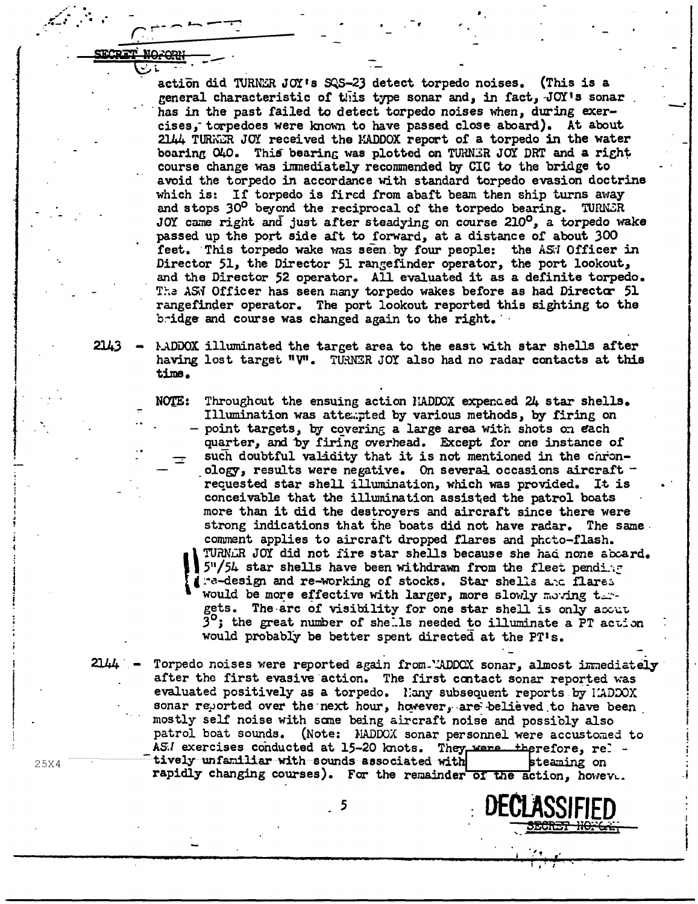action did 'l'URh'ZR JOI' s SQS-2) detect torpedo noises. (This is a general characteristic of this type sonar and, in fact,  $JOT'$  is sonar has in the past failed to detect torpedo noises when, during exercises,- torpedoes were known to have passed close aboard). At about 2144 TURNER JOY received the MADDOX report of a torpedo in the water boaring 040. This bearing was plotted on TURNER JOY DRT and a right course change was inmediately recommended by CIC to the bridge to avoid the torpedo in accordance with standard torpedo evasion doctrine which is: If torpedo is fired from abaft beam then ship turns away and stops 30° beyond the reciprocal of the torpedo bearing. TURNER JOY came right and just after steadying on course 210<sup>0</sup>, a torpedo wake passed up the port side aft to forward, at a distance of about 300 feet. This torpedo wake was seen by four people: the AS;I Officer in Director 51, the Director 51 rangefinder operator, the port lookout, and the Director 52 operator. All evaluated it as a definite torpedo. The ASN Officer has seen many torpedo wakes before as had Director 51 rangefinder operator. The port lookout reported this sighting to the bridge and course was changed again to the right.

 $2143 -$ AADDOX illuminated the target area to the east with star shells after having lost target "V". TURNER JOY also had no radar contacts at this time.

> NOTE: Throughout the ensuing action HADDOX expended 24 star shells. Illumination was attempted by various methods, by firing on point targets, by covering a large area with shots on each quarter, and by firing overhead. Except for one instance of such doubtful validity that it is not mentioned in the chronology, results were negative. On several occasions aircraft  $\cdot$ requested star shell illumination, which was provided. It is conceivable that the illumination assisted the patrol boats more than it did the destroyers and aircraft since there were strong indications that the boats did not have radar. The same. comment applies to aircraft dropped flares and phcto-flash.<br>TURNER JOY did not fire star shells because she had none abcard. IURNLR JOY did not fire star shells because she had none abcard.<br>5"/54 star shells have been withdrawn from the fleet pending<br>1. Te-design and re-working of stocks. Star shells and flares  $5"$ /54 star shells have been withdrawn from the fleet pendix: ( .: -design and re-working of stocks. Star shells a.c. flares would be more effective with larger, more slowly moving t.... gets. The arc of visibility for one star shell is only accut  $3^\circ$ ; the great number of shells needed to illuminate a PT action would probably be better spent directed at the PT<sup>1</sup>s.

2144 Torpedo noises were reported again from.'ADDCX sonar, almost immediately after the first evasive action. The first contact sonar reported was evaluated positively as a torpedo. Hany subsequent reports by HADDOX sonar reported over the next hour, however, are believed to have been mostly self noise with sane being aircraft noise and possibly also patrol boat sounds. (Note: MADDOX sonar personnel were accustomed to AS./ exercises conducted at 15-20 knots. They were therefore, rel -<br>tively unfaniliar with sounds associated with teaming on rapidly changing courses). For the remainder of the action, howeve.

**BEGRET NO.6.:** 

-·

I I .

I  $\vdots$ 

-i

*<sup>i</sup>*•. ''

 $\mathbf{I} \cdot \mathbf{I} \cdot \mathbf{I}$ 

<sup>5</sup>**DECLASSIFIED** 

25X4

-f

 $\sqrt{\alpha}$  . . .

\:::.- <sup>~</sup>-*---:'"* 

i<br>I<br>I<br>I

·-

l

t<br>|<br>|<br>|

'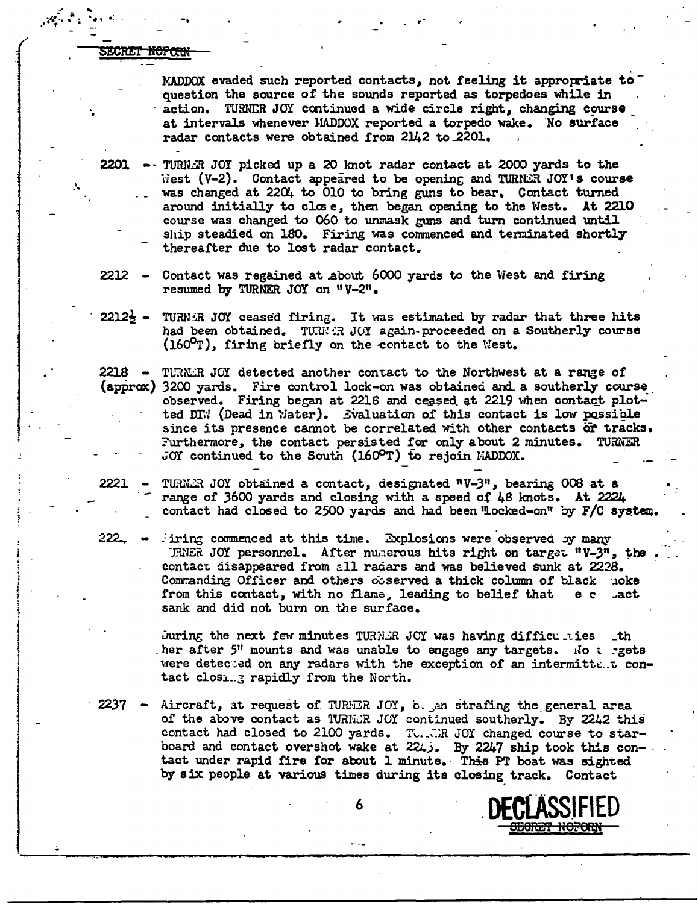SECRET <del>NOFORN</del>

 $\mathscr{A}$  is the set of  $\mathscr{A}$  . In the set of  $\mathscr{A}$ 

j'

... ..

1

I

l

j<br>1

j<br>Jeremia<br>Jeremia

 $\vert$  .

.<br>.<br>. ; l ' !

**International Property** 

I

• I

|<br>|-<br>|<br>|-• i j l

MADDOX evaded such reported contacts, not feeling it appropriate to  $^$ question the source of the sounds reported as torpedoes while in action. TURNER JOY continued a wide circle right, changing course at intervals whenever l·IADOOX reported a torpedo wake. 'No surface radar contacts were obtained from 2142 to 2201.

2201  $-$  TURNAR JOY picked up a 20 knot radar contact at 2000 yards to the  $i$ iest (V-2). Contact appeared to be opening and TURNER JOY's course was changed at 2204 to 010 to bring guns to bear. Contact turned around initially to close, then began opening to the West. At 2210 course was changed to 060 to unmask guns and turn continued until ship steadied on 180. Firing was commenced and teminated shortly thereafter due to lost radar contact.

2212  $-$  Contact was regained at about 6000 yards to the West and firing resumed by TURNER JOY on "V-2".

 $2212\frac{1}{2}$  - TURNER JOY ceased firing. It was estimated by radar that three hits had been obtained. TURN:R JOY again-proceeded on a Southerly course  $(160^{\circ}\text{T})$ , firing briefly on the contact to the West.

2218  $-$  TURNER JOY detected another contact to the Northwest at a range of (approx) 3200 yards. Fire control lock-on was obtained and a southerly course observed. Firing began at 2218 and ceased at 2219 when contact plotted DI.<sup>:</sup> (Dead in Water). Evaluation of this contact is low possible since its presence cannot be correlated with other contacts or tracks.  $Furthermore, the contact persisted for only about 2 minutes. TURNER$ JOY continued to the South (1600T) to rejoin MADDOX.

2221 - TURN $\tilde{H}$  JOY obtained a contact, designated  $'$ V-3", bearing 008 at a range of 3600 yards and closing with a speed of 48 lmots. At 2224 contact had closed to 2500 yards and had been "locked-on" by  $F/C$  system.

222.  $\bullet$  iring commenced at this time. Explosions were observed  $\mathcal{N}$  many . TRNER JOY personnel. After numerous hits right on target "V-3", the contact disappeared from all radars and was believed sunk at 2228. Commanding Officer and others coserved a thick column of black noke from this contact, with no flame, leading to belief that  $e$   $e$  . act sank and did not bum on the surface.

> Juring the next few minutes TURN.HR JOY was having difficulaties  $-th$ her after 5<sup>11</sup> mounts and was unable to engage any targets. *ilo t* rgets were detected on any radars with the exception of an intermittent contact closing rapidly from the North.

2237 - Aircraft, at request of TURER JOY,  $o_{\text{max}}$  strafing the general area of the above contact as TURNER JOY continued southerly. By 2242 this contact had closed to 2100 yards. The  $\tilde{c}$ : The JOY changed course to starboard and contact overshot wake at 224, By 2247 ship took this con- tact under rapid fire for about 1 minute. This PT boat was sighted bf six people at various times during its closing track. Contact

B<del>oret Noforn</del>

6 DECLASSIFIED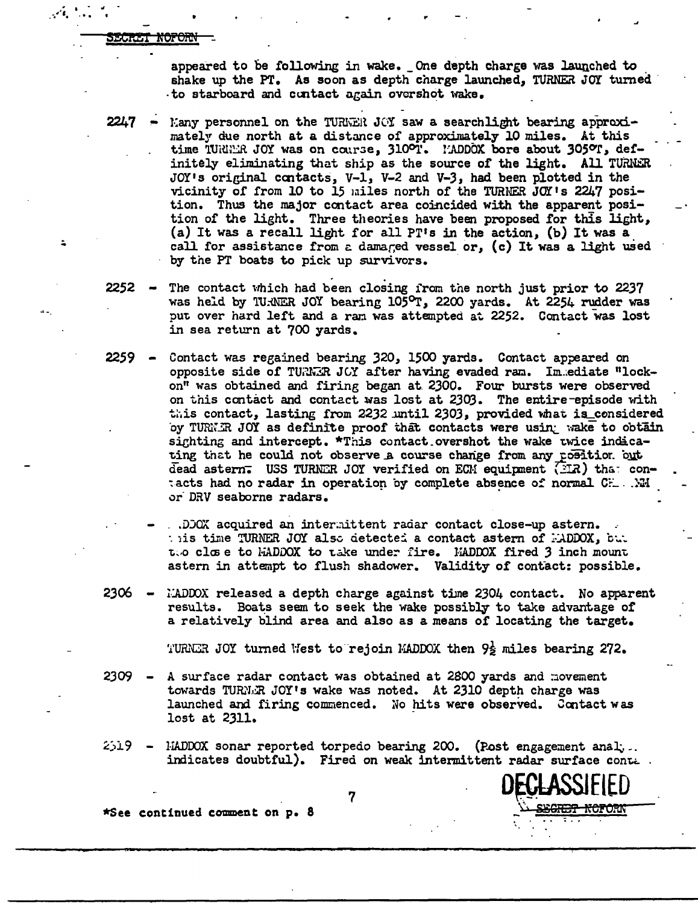<del>ltet noform</del>

.~ ... ~i. • .. : "", . *<sup>r</sup>*

appeared to be following in wake. \_One depth charge was launched to . shake up the PT. As soon as depth charge launched, TURNER JOY turned -to starboard and contact again overshot wake.

 $2247$  - Many personnel on the TURWER JOY saw a searchlight bearing approximately due north at a distance of approximately 10 miles. At this time TURER JOY was on course, 310°T. PADDOX bore about 305°T, definitely eliminating that ship as the source of the light. All TURNER JOY's original contacts,  $V-1$ ,  $V-2$  and  $V-3$ , had been plotted in the vicinity of from 10 to 15 miles north of the TURNER  $JOT$  is 2247 position. Thus the major contact area coincided with the apparent position of the light. Three theories have been proposed for this light, (a) It was a recall light for all PT's in the action, (b) It was a call for assistance from a damared vessel or, (c) It was a light used by the PT boats to pick up survivors.

- 2252  $-$  The contact which had been closing from the north just prior to 2237 was held by 'lU:NER JOY bearing 105°T, 2200 yards. At 2254 rudder was put over hard left and a ran was attempted at 2252. Contact was lost in sea return at 700 yards.
- $2259$  Contact was regained bearing  $320$ ,  $1500$  yards. Contact appeared on opposite side of TURNER JOY after having evaded ram. Im.ediate "lockon" was obtained and firing began at 2300. Four bursts were observed on this contact and contact was lost at 2303. The entire-episode with this contact, lasting from 2232 until 2303, provided what is\_considered oy TURKIR JOY as definite proof that contacts were using wake to obtain sighting and intercept.  $*$ This contact overshot the wake twice indicating that he could not observe a course change from any position. out dead astern. USS TURNER JOY verified on ECM equipment (2IR) that con-:acts had no radar in operation by complete absence of normal CH. .. . Will or· DRV seaborne radars.
	- .. DDOX acquired an intermittent radar contact close-up astern. : iis time TURNER JOY also detected a contact astern of *:ADDOX*, *but* t... close to HADDOX to take under fire. HADDOX fired 3 inch mount astern in attempt to flush shadower. Validity of contact: possible.
- $2306$   $i$ :ADDOX released a depth charge against time 2304 contact. No apparent results. Boats seem to seek the wake possibly to take advantage of a relatively blind area and also as a means of locating the target.

TURNER JOY turned West to rejoin MADDOX then  $9\frac{1}{2}$  miles bearing 272.

- $2309$  A surface radar contact was obtained at 2800 yards and movement towards TURN.R JOY's wake was noted. At 2310 depth charge was launched and firing commenced. Wo hits were observed. Contact was lost at 2311.
- $2519$  HADDOX sonar reported torpedo bearing 200. (Post engagement anal;.. indicates doubtful). Fired on weak intermittent radar surface conte .

\*See continued comment on P• 8

7